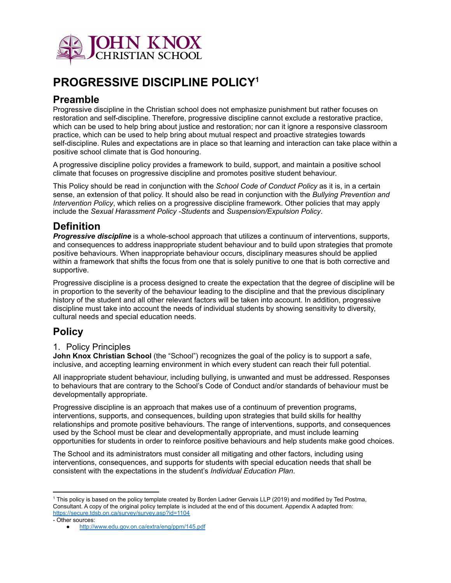

# **PROGRESSIVE DISCIPLINE POLICY 1**

# **Preamble**

Progressive discipline in the Christian school does not emphasize punishment but rather focuses on restoration and self-discipline. Therefore, progressive discipline cannot exclude a restorative practice, which can be used to help bring about justice and restoration; nor can it ignore a responsive classroom practice, which can be used to help bring about mutual respect and proactive strategies towards self-discipline. Rules and expectations are in place so that learning and interaction can take place within a positive school climate that is God honouring.

A progressive discipline policy provides a framework to build, support, and maintain a positive school climate that focuses on progressive discipline and promotes positive student behaviour.

This Policy should be read in conjunction with the *School Code of Conduct Policy* as it is, in a certain sense, an extension of that policy. It should also be read in conjunction with the *Bullying Prevention and Intervention Policy*, which relies on a progressive discipline framework. Other policies that may apply include the *Sexual Harassment Policy -Students* and *Suspension/Expulsion Policy*.

# **Definition**

*Progressive discipline* is a whole-school approach that utilizes a continuum of interventions, supports, and consequences to address inappropriate student behaviour and to build upon strategies that promote positive behaviours. When inappropriate behaviour occurs, disciplinary measures should be applied within a framework that shifts the focus from one that is solely punitive to one that is both corrective and supportive.

Progressive discipline is a process designed to create the expectation that the degree of discipline will be in proportion to the severity of the behaviour leading to the discipline and that the previous disciplinary history of the student and all other relevant factors will be taken into account. In addition, progressive discipline must take into account the needs of individual students by showing sensitivity to diversity, cultural needs and special education needs.

# **Policy**

#### 1. Policy Principles

**John Knox Christian School** (the "School") recognizes the goal of the policy is to support a safe, inclusive, and accepting learning environment in which every student can reach their full potential.

All inappropriate student behaviour, including bullying, is unwanted and must be addressed. Responses to behaviours that are contrary to the School's Code of Conduct and/or standards of behaviour must be developmentally appropriate.

Progressive discipline is an approach that makes use of a continuum of prevention programs, interventions, supports, and consequences, building upon strategies that build skills for healthy relationships and promote positive behaviours. The range of interventions, supports, and consequences used by the School must be clear and developmentally appropriate, and must include learning opportunities for students in order to reinforce positive behaviours and help students make good choices.

The School and its administrators must consider all mitigating and other factors, including using interventions, consequences, and supports for students with special education needs that shall be consistent with the expectations in the student's *Individual Education Plan*.

<sup>1</sup> This policy is based on the policy template created by Borden Ladner Gervais LLP (2019) and modified by Ted Postma, Consultant. A copy of the original policy template is included at the end of this document. Appendix A adapted from: <https://secure.tdsb.on.ca/survey/survey.asp?id=1104>

<sup>-</sup> Other sources:

<http://www.edu.gov.on.ca/extra/eng/ppm/145.pdf>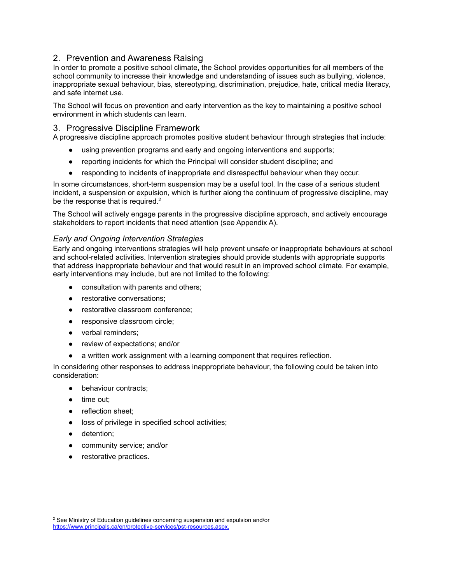#### 2. Prevention and Awareness Raising

In order to promote a positive school climate, the School provides opportunities for all members of the school community to increase their knowledge and understanding of issues such as bullying, violence, inappropriate sexual behaviour, bias, stereotyping, discrimination, prejudice, hate, critical media literacy, and safe internet use.

The School will focus on prevention and early intervention as the key to maintaining a positive school environment in which students can learn.

#### 3. Progressive Discipline Framework

A progressive discipline approach promotes positive student behaviour through strategies that include:

- using prevention programs and early and ongoing interventions and supports;
- reporting incidents for which the Principal will consider student discipline; and
- responding to incidents of inappropriate and disrespectful behaviour when they occur.

In some circumstances, short-term suspension may be a useful tool. In the case of a serious student incident, a suspension or expulsion, which is further along the continuum of progressive discipline, may be the response that is required. $2$ 

The School will actively engage parents in the progressive discipline approach, and actively encourage stakeholders to report incidents that need attention (see Appendix A).

#### *Early and Ongoing Intervention Strategies*

Early and ongoing interventions strategies will help prevent unsafe or inappropriate behaviours at school and school-related activities. Intervention strategies should provide students with appropriate supports that address inappropriate behaviour and that would result in an improved school climate. For example, early interventions may include, but are not limited to the following:

- consultation with parents and others;
- restorative conversations;
- restorative classroom conference:
- responsive classroom circle:
- verbal reminders;
- review of expectations; and/or
- a written work assignment with a learning component that requires reflection.

In considering other responses to address inappropriate behaviour, the following could be taken into consideration:

- behaviour contracts:
- time out;
- reflection sheet:
- loss of privilege in specified school activities;
- detention;
- community service; and/or
- restorative practices.

<sup>&</sup>lt;sup>2</sup> See Ministry of Education quidelines concerning suspension and expulsion and/or <https://www.principals.ca/en/protective-services/pst-resources.aspx>.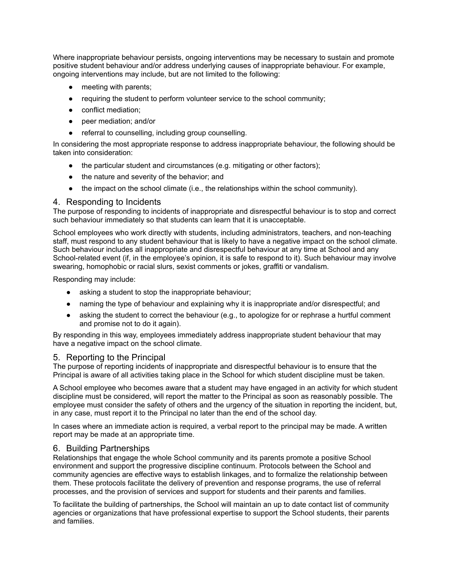Where inappropriate behaviour persists, ongoing interventions may be necessary to sustain and promote positive student behaviour and/or address underlying causes of inappropriate behaviour. For example, ongoing interventions may include, but are not limited to the following:

- meeting with parents;
- requiring the student to perform volunteer service to the school community;
- conflict mediation;
- peer mediation; and/or
- referral to counselling, including group counselling.

In considering the most appropriate response to address inappropriate behaviour, the following should be taken into consideration:

- the particular student and circumstances (e.g. mitigating or other factors);
- the nature and severity of the behavior; and
- the impact on the school climate (i.e., the relationships within the school community).

#### 4. Responding to Incidents

The purpose of responding to incidents of inappropriate and disrespectful behaviour is to stop and correct such behaviour immediately so that students can learn that it is unacceptable.

School employees who work directly with students, including administrators, teachers, and non-teaching staff, must respond to any student behaviour that is likely to have a negative impact on the school climate. Such behaviour includes all inappropriate and disrespectful behaviour at any time at School and any School-related event (if, in the employee's opinion, it is safe to respond to it). Such behaviour may involve swearing, homophobic or racial slurs, sexist comments or jokes, graffiti or vandalism.

Responding may include:

- asking a student to stop the inappropriate behaviour;
- naming the type of behaviour and explaining why it is inappropriate and/or disrespectful; and
- asking the student to correct the behaviour (e.g., to apologize for or rephrase a hurtful comment and promise not to do it again).

By responding in this way, employees immediately address inappropriate student behaviour that may have a negative impact on the school climate.

#### 5. Reporting to the Principal

The purpose of reporting incidents of inappropriate and disrespectful behaviour is to ensure that the Principal is aware of all activities taking place in the School for which student discipline must be taken.

A School employee who becomes aware that a student may have engaged in an activity for which student discipline must be considered, will report the matter to the Principal as soon as reasonably possible. The employee must consider the safety of others and the urgency of the situation in reporting the incident, but, in any case, must report it to the Principal no later than the end of the school day.

In cases where an immediate action is required, a verbal report to the principal may be made. A written report may be made at an appropriate time.

#### 6. Building Partnerships

Relationships that engage the whole School community and its parents promote a positive School environment and support the progressive discipline continuum. Protocols between the School and community agencies are effective ways to establish linkages, and to formalize the relationship between them. These protocols facilitate the delivery of prevention and response programs, the use of referral processes, and the provision of services and support for students and their parents and families.

To facilitate the building of partnerships, the School will maintain an up to date contact list of community agencies or organizations that have professional expertise to support the School students, their parents and families.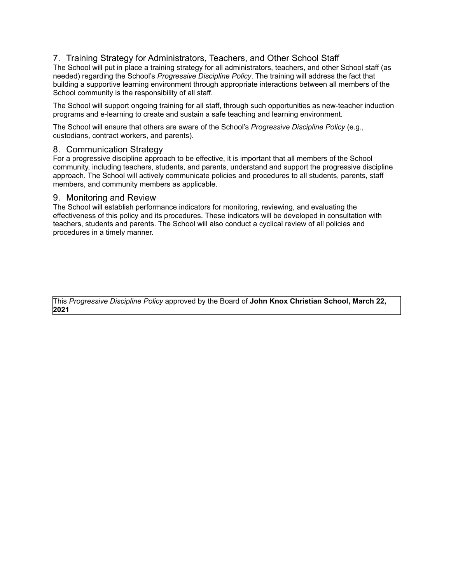#### 7. Training Strategy for Administrators, Teachers, and Other School Staff

The School will put in place a training strategy for all administrators, teachers, and other School staff (as needed) regarding the School's *Progressive Discipline Policy*. The training will address the fact that building a supportive learning environment through appropriate interactions between all members of the School community is the responsibility of all staff.

The School will support ongoing training for all staff, through such opportunities as new-teacher induction programs and e-learning to create and sustain a safe teaching and learning environment.

The School will ensure that others are aware of the School's *Progressive Discipline Policy* (e.g., custodians, contract workers, and parents).

#### 8. Communication Strategy

For a progressive discipline approach to be effective, it is important that all members of the School community, including teachers, students, and parents, understand and support the progressive discipline approach. The School will actively communicate policies and procedures to all students, parents, staff members, and community members as applicable.

#### 9. Monitoring and Review

The School will establish performance indicators for monitoring, reviewing, and evaluating the effectiveness of this policy and its procedures. These indicators will be developed in consultation with teachers, students and parents. The School will also conduct a cyclical review of all policies and procedures in a timely manner.

This *Progressive Discipline Policy* approved by the Board of **John Knox Christian School, March 22, 2021**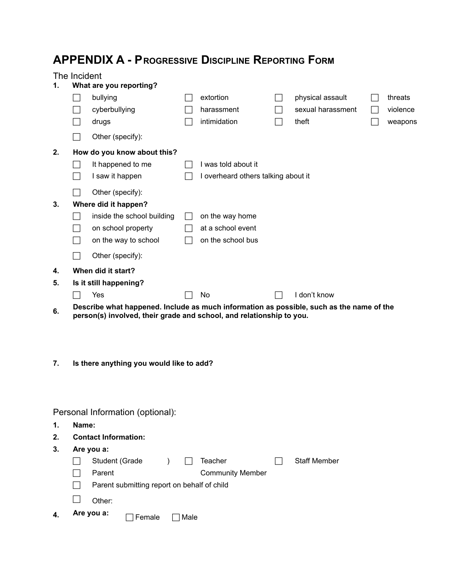# **APPENDIX A - PROGRESSIVE DISCIPLINE REPORTING FORM**

### The Incident

| 1.                               | What are you reporting?                                                                                                                                          |                                 |  |                         |                                     |                     |  |          |  |
|----------------------------------|------------------------------------------------------------------------------------------------------------------------------------------------------------------|---------------------------------|--|-------------------------|-------------------------------------|---------------------|--|----------|--|
|                                  |                                                                                                                                                                  | bullying                        |  | extortion               |                                     | physical assault    |  | threats  |  |
|                                  |                                                                                                                                                                  | cyberbullying                   |  | harassment              | $\blacksquare$                      | sexual harassment   |  | violence |  |
|                                  |                                                                                                                                                                  | drugs                           |  | intimidation            |                                     | theft               |  | weapons  |  |
|                                  |                                                                                                                                                                  | Other (specify):                |  |                         |                                     |                     |  |          |  |
| 2.                               | How do you know about this?                                                                                                                                      |                                 |  |                         |                                     |                     |  |          |  |
|                                  |                                                                                                                                                                  | It happened to me               |  | I was told about it     |                                     |                     |  |          |  |
|                                  | $\blacksquare$                                                                                                                                                   | I saw it happen                 |  |                         | I overheard others talking about it |                     |  |          |  |
|                                  |                                                                                                                                                                  | Other (specify):                |  |                         |                                     |                     |  |          |  |
| 3.                               | Where did it happen?                                                                                                                                             |                                 |  |                         |                                     |                     |  |          |  |
|                                  |                                                                                                                                                                  | inside the school building      |  | on the way home         |                                     |                     |  |          |  |
|                                  | $\blacksquare$                                                                                                                                                   | on school property              |  | at a school event       |                                     |                     |  |          |  |
|                                  |                                                                                                                                                                  | on the way to school            |  | on the school bus       |                                     |                     |  |          |  |
|                                  |                                                                                                                                                                  | Other (specify):                |  |                         |                                     |                     |  |          |  |
| 4.                               |                                                                                                                                                                  | When did it start?              |  |                         |                                     |                     |  |          |  |
| 5.                               |                                                                                                                                                                  | Is it still happening?          |  |                         |                                     |                     |  |          |  |
|                                  |                                                                                                                                                                  | Yes                             |  | No                      |                                     | I don't know        |  |          |  |
| 6.                               | Describe what happened. Include as much information as possible, such as the name of the<br>person(s) involved, their grade and school, and relationship to you. |                                 |  |                         |                                     |                     |  |          |  |
|                                  |                                                                                                                                                                  |                                 |  |                         |                                     |                     |  |          |  |
|                                  |                                                                                                                                                                  |                                 |  |                         |                                     |                     |  |          |  |
|                                  |                                                                                                                                                                  |                                 |  |                         |                                     |                     |  |          |  |
| 7.                               | Is there anything you would like to add?                                                                                                                         |                                 |  |                         |                                     |                     |  |          |  |
|                                  |                                                                                                                                                                  |                                 |  |                         |                                     |                     |  |          |  |
|                                  |                                                                                                                                                                  |                                 |  |                         |                                     |                     |  |          |  |
| Personal Information (optional): |                                                                                                                                                                  |                                 |  |                         |                                     |                     |  |          |  |
| 1.                               | Name:                                                                                                                                                            |                                 |  |                         |                                     |                     |  |          |  |
| 2.                               |                                                                                                                                                                  | <b>Contact Information:</b>     |  |                         |                                     |                     |  |          |  |
| 3.                               | Are you a:                                                                                                                                                       |                                 |  |                         |                                     |                     |  |          |  |
|                                  |                                                                                                                                                                  | Student (Grade<br>$\mathcal{L}$ |  | Teacher                 |                                     | <b>Staff Member</b> |  |          |  |
|                                  |                                                                                                                                                                  | Parent                          |  | <b>Community Member</b> |                                     |                     |  |          |  |

- **Parent submitting report on behalf of child**
- $\Box$  Other:
- **4. Are you a:** Female Male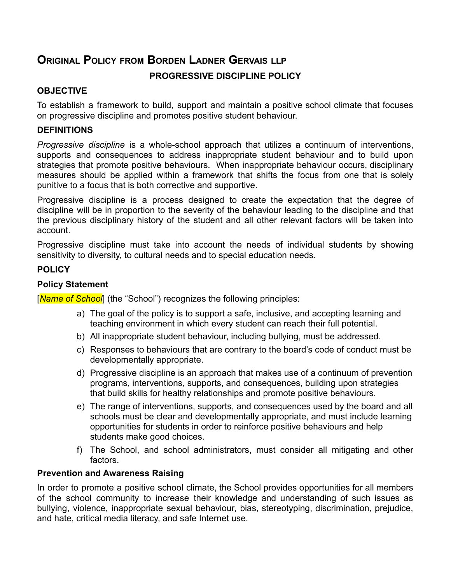# **ORIGINAL POLICY FROM BORDEN LADNER GERVAIS LLP**

## **PROGRESSIVE DISCIPLINE POLICY**

### **OBJECTIVE**

To establish a framework to build, support and maintain a positive school climate that focuses on progressive discipline and promotes positive student behaviour.

### **DEFINITIONS**

*Progressive discipline* is a whole-school approach that utilizes a continuum of interventions, supports and consequences to address inappropriate student behaviour and to build upon strategies that promote positive behaviours. When inappropriate behaviour occurs, disciplinary measures should be applied within a framework that shifts the focus from one that is solely punitive to a focus that is both corrective and supportive.

Progressive discipline is a process designed to create the expectation that the degree of discipline will be in proportion to the severity of the behaviour leading to the discipline and that the previous disciplinary history of the student and all other relevant factors will be taken into account.

Progressive discipline must take into account the needs of individual students by showing sensitivity to diversity, to cultural needs and to special education needs.

## **POLICY**

## **Policy Statement**

[**Name of School**] (the "School") recognizes the following principles:

- a) The goal of the policy is to support a safe, inclusive, and accepting learning and teaching environment in which every student can reach their full potential.
- b) All inappropriate student behaviour, including bullying, must be addressed.
- c) Responses to behaviours that are contrary to the board's code of conduct must be developmentally appropriate.
- d) Progressive discipline is an approach that makes use of a continuum of prevention programs, interventions, supports, and consequences, building upon strategies that build skills for healthy relationships and promote positive behaviours.
- e) The range of interventions, supports, and consequences used by the board and all schools must be clear and developmentally appropriate, and must include learning opportunities for students in order to reinforce positive behaviours and help students make good choices.
- f) The School, and school administrators, must consider all mitigating and other factors.

### **Prevention and Awareness Raising**

In order to promote a positive school climate, the School provides opportunities for all members of the school community to increase their knowledge and understanding of such issues as bullying, violence, inappropriate sexual behaviour, bias, stereotyping, discrimination, prejudice, and hate, critical media literacy, and safe Internet use.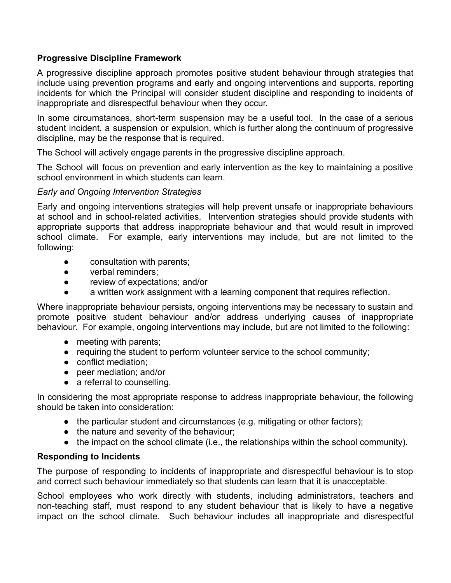### **Progressive Discipline Framework**

A progressive discipline approach promotes positive student behaviour through strategies that include using prevention programs and early and ongoing interventions and supports, reporting incidents for which the Principal will consider student discipline and responding to incidents of inappropriate and disrespectful behaviour when they occur.

In some circumstances, short-term suspension may be a useful tool. In the case of a serious student incident, a suspension or expulsion, which is further along the continuum of progressive discipline, may be the response that is required.

The School will actively engage parents in the progressive discipline approach.

The School will focus on prevention and early intervention as the key to maintaining a positive school environment in which students can learn.

### *Early and Ongoing Intervention Strategies*

Early and ongoing interventions strategies will help prevent unsafe or inappropriate behaviours at school and in school-related activities. Intervention strategies should provide students with appropriate supports that address inappropriate behaviour and that would result in improved school climate. For example, early interventions may include, but are not limited to the following:

- consultation with parents;
- verbal reminders:
- review of expectations; and/or
- a written work assignment with a learning component that requires reflection.

Where inappropriate behaviour persists, ongoing interventions may be necessary to sustain and promote positive student behaviour and/or address underlying causes of inappropriate behaviour. For example, ongoing interventions may include, but are not limited to the following:

- meeting with parents;
- requiring the student to perform volunteer service to the school community;
- conflict mediation;
- peer mediation; and/or
- a referral to counselling.

In considering the most appropriate response to address inappropriate behaviour, the following should be taken into consideration:

- the particular student and circumstances (e.g. mitigating or other factors);
- the nature and severity of the behaviour;
- the impact on the school climate (i.e., the relationships within the school community).

### **Responding to Incidents**

The purpose of responding to incidents of inappropriate and disrespectful behaviour is to stop and correct such behaviour immediately so that students can learn that it is unacceptable.

School employees who work directly with students, including administrators, teachers and non-teaching staff, must respond to any student behaviour that is likely to have a negative impact on the school climate. Such behaviour includes all inappropriate and disrespectful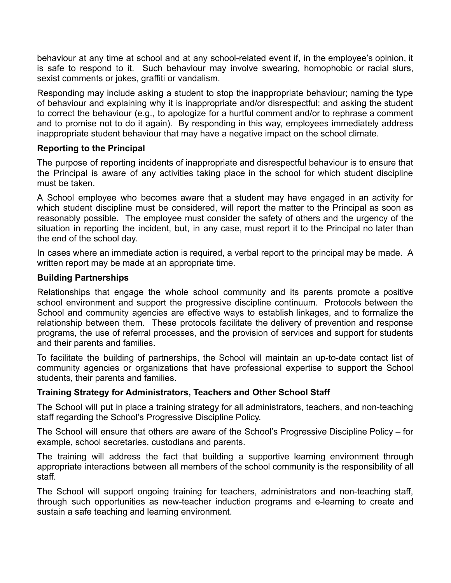behaviour at any time at school and at any school-related event if, in the employee's opinion, it is safe to respond to it. Such behaviour may involve swearing, homophobic or racial slurs, sexist comments or jokes, graffiti or vandalism.

Responding may include asking a student to stop the inappropriate behaviour; naming the type of behaviour and explaining why it is inappropriate and/or disrespectful; and asking the student to correct the behaviour (e.g., to apologize for a hurtful comment and/or to rephrase a comment and to promise not to do it again). By responding in this way, employees immediately address inappropriate student behaviour that may have a negative impact on the school climate.

### **Reporting to the Principal**

The purpose of reporting incidents of inappropriate and disrespectful behaviour is to ensure that the Principal is aware of any activities taking place in the school for which student discipline must be taken.

A School employee who becomes aware that a student may have engaged in an activity for which student discipline must be considered, will report the matter to the Principal as soon as reasonably possible. The employee must consider the safety of others and the urgency of the situation in reporting the incident, but, in any case, must report it to the Principal no later than the end of the school day.

In cases where an immediate action is required, a verbal report to the principal may be made. A written report may be made at an appropriate time.

### **Building Partnerships**

Relationships that engage the whole school community and its parents promote a positive school environment and support the progressive discipline continuum. Protocols between the School and community agencies are effective ways to establish linkages, and to formalize the relationship between them. These protocols facilitate the delivery of prevention and response programs, the use of referral processes, and the provision of services and support for students and their parents and families.

To facilitate the building of partnerships, the School will maintain an up-to-date contact list of community agencies or organizations that have professional expertise to support the School students, their parents and families.

### **Training Strategy for Administrators, Teachers and Other School Staff**

The School will put in place a training strategy for all administrators, teachers, and non-teaching staff regarding the School's Progressive Discipline Policy.

The School will ensure that others are aware of the School's Progressive Discipline Policy – for example, school secretaries, custodians and parents.

The training will address the fact that building a supportive learning environment through appropriate interactions between all members of the school community is the responsibility of all staff.

The School will support ongoing training for teachers, administrators and non-teaching staff, through such opportunities as new-teacher induction programs and e-learning to create and sustain a safe teaching and learning environment.